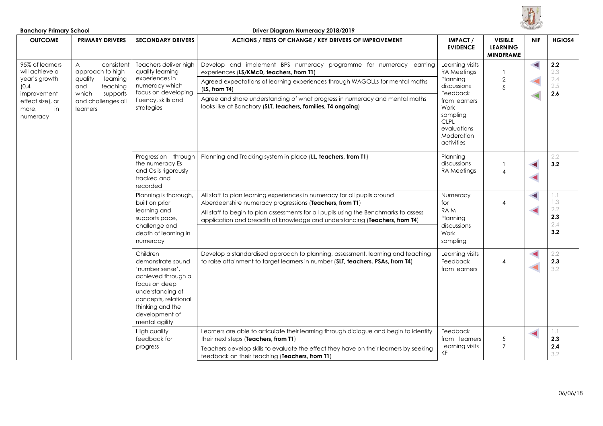

| <b>Banchory Primary School</b>                                                                                            |                                                                                                                                                   |                                                                                                                                                                                             | Driver Diagram Numeracy 2018/2019                                                                                                                                                                                                                                                                                                                              |                                                                                                                                                                                                                                                                                                           |                                                                       |            |                                     |                                        |
|---------------------------------------------------------------------------------------------------------------------------|---------------------------------------------------------------------------------------------------------------------------------------------------|---------------------------------------------------------------------------------------------------------------------------------------------------------------------------------------------|----------------------------------------------------------------------------------------------------------------------------------------------------------------------------------------------------------------------------------------------------------------------------------------------------------------------------------------------------------------|-----------------------------------------------------------------------------------------------------------------------------------------------------------------------------------------------------------------------------------------------------------------------------------------------------------|-----------------------------------------------------------------------|------------|-------------------------------------|----------------------------------------|
| <b>OUTCOME</b>                                                                                                            | <b>PRIMARY DRIVERS</b>                                                                                                                            | <b>SECONDARY DRIVERS</b>                                                                                                                                                                    | ACTIONS / TESTS OF CHANGE / KEY DRIVERS OF IMPROVEMENT                                                                                                                                                                                                                                                                                                         | IMPACT /<br><b>EVIDENCE</b>                                                                                                                                                                                                                                                                               | <b>VISIBLE</b><br><b>LEARNING</b><br><b>MINDFRAME</b>                 | <b>NIF</b> | HGIOS4                              |                                        |
| 95% of learners<br>will achieve a<br>year's growth<br>(0.4)<br>improvement<br>effect size), or<br>in<br>more,<br>numeracy | $\overline{A}$<br>consistent<br>approach to high<br>quality<br>learning<br>and<br>teaching<br>which<br>supports<br>and challenges all<br>learners | Teachers deliver high<br>quality learning<br>experiences in<br>numeracy which<br>focus on developing<br>fluency, skills and<br>strategies                                                   | Develop and implement BPS numeracy programme for numeracy learning<br>experiences (LS/KMcD, teachers, from T1)<br>Agreed expectations of learning experiences through WAGOLLs for mental maths<br>(LS, from T4)<br>Agree and share understanding of what progress in numeracy and mental maths<br>looks like at Banchory (SLT, teachers, families, T4 ongoing) | Learning visits<br>RA Meetings<br>Planning<br>discussions<br>Feedback<br>from learners<br>Work<br>sampling<br><b>CLPL</b><br>evaluations<br>Moderation<br>activities                                                                                                                                      | $\mathbf{2}$<br>5                                                     |            | $2.2\,$<br>2.3<br>2.4<br>2.5<br>2.6 |                                        |
|                                                                                                                           |                                                                                                                                                   | Progression through<br>the numeracy Es<br>and Os is rigorously<br>tracked and<br>recorded                                                                                                   | Planning and Tracking system in place (LL, teachers, from T1)                                                                                                                                                                                                                                                                                                  | Planning<br>discussions<br>RA Meetings                                                                                                                                                                                                                                                                    | $\overline{4}$                                                        |            | 2.2<br>3.2                          |                                        |
|                                                                                                                           |                                                                                                                                                   |                                                                                                                                                                                             | Planning is thorough,<br>built on prior<br>learning and<br>supports pace,<br>challenge and<br>depth of learning in<br>numeracy                                                                                                                                                                                                                                 | All staff to plan learning experiences in numeracy for all pupils around<br>Aberdeenshire numeracy progressions (Teachers, from T1)<br>All staff to begin to plan assessments for all pupils using the Benchmarks to assess<br>application and breadth of knowledge and understanding (Teachers, from T4) | Numeracy<br>for<br>RAM<br>Planning<br>discussions<br>Work<br>sampling | 4          | $\blacktriangleleft$                | 1.1<br>1.3<br>2.2<br>2.3<br>2.4<br>3.2 |
|                                                                                                                           |                                                                                                                                                   | Children<br>demonstrate sound<br>'number sense',<br>achieved through a<br>focus on deep<br>understanding of<br>concepts, relational<br>thinking and the<br>development of<br>mental agility | Develop a standardised approach to planning, assessment, learning and teaching<br>to raise attainment to target learners in number (SLT, teachers, PSAs, from T4)                                                                                                                                                                                              | Learning visits<br>Feedback<br>from learners                                                                                                                                                                                                                                                              | 4                                                                     |            | 2.2<br>2.3<br>3.2                   |                                        |
|                                                                                                                           |                                                                                                                                                   | High quality<br>feedback for<br>progress                                                                                                                                                    | Learners are able to articulate their learning through dialogue and begin to identify<br>their next steps (Teachers, from T1)<br>Teachers develop skills to evaluate the effect they have on their learners by seeking<br>feedback on their teaching (Teachers, from T1)                                                                                       | Feedback<br>from learners<br>Learning visits<br>KF                                                                                                                                                                                                                                                        | $\sqrt{5}$<br>$\overline{7}$                                          |            | 1.1<br>2.3<br>2.4<br>3.2            |                                        |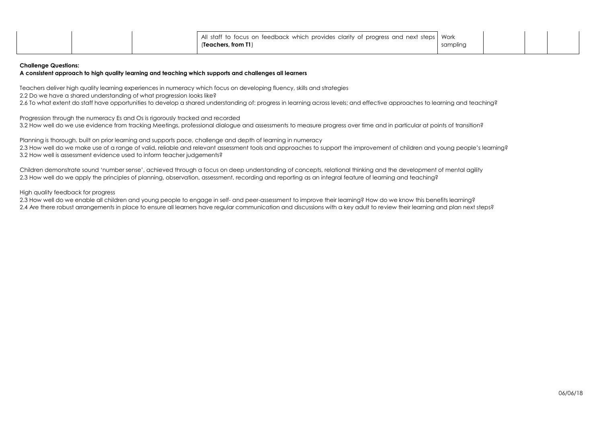|  | All staff to focus on feedback which provides clarity of progress and next steps   Work |          |  |  |
|--|-----------------------------------------------------------------------------------------|----------|--|--|
|  | (Teachers, from T1)                                                                     | sampling |  |  |
|  |                                                                                         |          |  |  |

### **Challenge Questions:**

# **A consistent approach to high quality learning and teaching which supports and challenges all learners**

Teachers deliver high quality learning experiences in numeracy which focus on developing fluency, skills and strategies

2.2 Do we have a shared understanding of what progression looks like?

2.6 To what extent do staff have opportunities to develop a shared understanding of: progress in learning across levels; and effective approaches to learning and teaching?

Progression through the numeracy Es and Os is rigorously tracked and recorded 3.2 How well do we use evidence from tracking Meetings, professional dialogue and assessments to measure progress over time and in particular at points of transition?

Planning is thorough, built on prior learning and supports pace, challenge and depth of learning in numeracy 2.3 How well do we make use of a range of valid, reliable and relevant assessment tools and approaches to support the improvement of children and young people's learning? 3.2 How well is assessment evidence used to inform teacher judgements?

Children demonstrate sound 'number sense', achieved through a focus on deep understanding of concepts, relational thinking and the development of mental agility 2.3 How well do we apply the principles of planning, observation, assessment, recording and reporting as an integral feature of learning and teaching?

High quality feedback for progress

2.3 How well do we enable all children and young people to engage in self- and peer-assessment to improve their learning? How do we know this benefits learning? 2.4 Are there robust arrangements in place to ensure all learners have regular communication and discussions with a key adult to review their learning and plan next steps?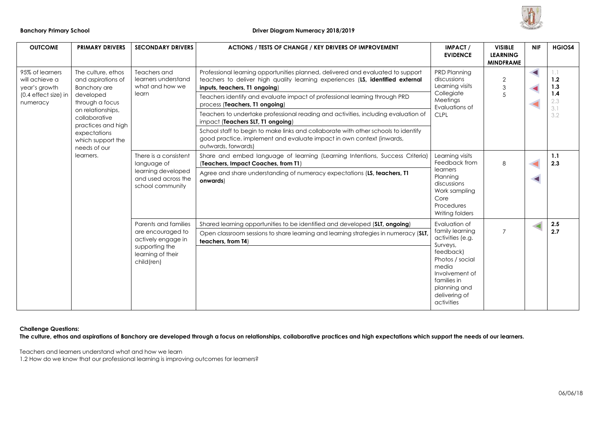

| <b>OUTCOME</b>                                     | <b>PRIMARY DRIVERS</b>                                                                                             | <b>SECONDARY DRIVERS</b>                                                                                             | <b>ACTIONS / TESTS OF CHANGE / KEY DRIVERS OF IMPROVEMENT</b>                                                                                                                                      | <b>IMPACT /</b><br><b>EVIDENCE</b>                                                                                                                                                                          | <b>VISIBLE</b><br><b>LEARNING</b><br><b>MINDFRAME</b> | <b>NIF</b> | <b>HGIOS4</b>       |
|----------------------------------------------------|--------------------------------------------------------------------------------------------------------------------|----------------------------------------------------------------------------------------------------------------------|----------------------------------------------------------------------------------------------------------------------------------------------------------------------------------------------------|-------------------------------------------------------------------------------------------------------------------------------------------------------------------------------------------------------------|-------------------------------------------------------|------------|---------------------|
| 95% of learners<br>will achieve a<br>year's growth | The culture, ethos<br>and aspirations of<br><b>Banchory are</b><br>developed<br>through a focus                    | Teachers and<br>learners understand<br>what and how we<br>learn                                                      | Professional learning opportunities planned, delivered and evaluated to support<br>teachers to deliver high quality learning experiences (LS, identified external<br>inputs, teachers, T1 ongoing) | <b>PRD Planning</b><br>discussions<br>Learning visits<br>Collegiate<br>Meetings<br>Evaluations of<br><b>CLPL</b>                                                                                            | $\overline{2}$<br>3                                   |            | 1.1<br>$1.2$<br>1.3 |
| (0.4 effect size) in<br>numeracy                   |                                                                                                                    |                                                                                                                      | Teachers identify and evaluate impact of professional learning through PRD<br>process (Teachers, T1 ongoing)                                                                                       |                                                                                                                                                                                                             | $\overline{5}$                                        |            | 1.4<br>2.3<br>3.1   |
|                                                    | on relationships,<br>collaborative<br>practices and high                                                           |                                                                                                                      | Teachers to undertake professional reading and activities, including evaluation of<br>impact (Teachers SLT, T1 ongoing)                                                                            |                                                                                                                                                                                                             |                                                       |            | 3.2                 |
|                                                    | expectations<br>which support the<br>needs of our                                                                  |                                                                                                                      | School staff to begin to make links and collaborate with other schools to identify<br>good practice, implement and evaluate impact in own context (inwards,<br>outwards, forwards)                 |                                                                                                                                                                                                             |                                                       |            |                     |
|                                                    | There is a consistent<br>learners.<br>language of<br>learning developed<br>and used across the<br>school community | Share and embed language of learning (Learning Intentions, Success Criteria)<br>(Teachers, Impact Coaches, from T1)  | Learning visits<br>Feedback from                                                                                                                                                                   | 8                                                                                                                                                                                                           |                                                       | 1.1<br>2.3 |                     |
|                                                    |                                                                                                                    | Parents and families<br>are encouraged to<br>actively engage in<br>supporting the<br>learning of their<br>child(ren) | Agree and share understanding of numeracy expectations (LS, teachers, T1<br>onwards)                                                                                                               | learners<br>Planning<br>discussions<br>Work sampling<br>Core<br>Procedures<br>Writing folders                                                                                                               |                                                       |            |                     |
|                                                    |                                                                                                                    |                                                                                                                      | Shared learning opportunities to be identified and developed (SLT, ongoing)                                                                                                                        | Evaluation of<br>family learning<br>$\overline{7}$<br>activities (e.g.<br>Surveys,<br>feedback)<br>Photos / social<br>media<br>Involvement of<br>families in<br>planning and<br>delivering of<br>activities |                                                       |            | 2.5                 |
|                                                    |                                                                                                                    |                                                                                                                      | Open classroom sessions to share learning and learning strategies in numeracy (SLT,<br>teachers, from T4)                                                                                          |                                                                                                                                                                                                             |                                                       |            | 2.7                 |

**Challenge Questions:** 

**The culture, ethos and aspirations of Banchory are developed through a focus on relationships, collaborative practices and high expectations which support the needs of our learners.** 

Teachers and learners understand what and how we learn

1.2 How do we know that our professional learning is improving outcomes for learners?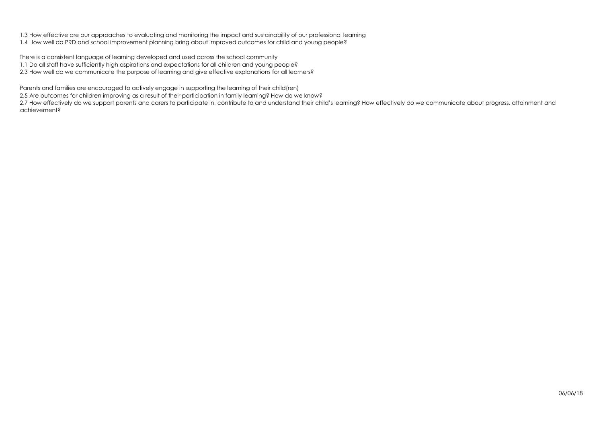1.3 How effective are our approaches to evaluating and monitoring the impact and sustainability of our professional learning 1.4 How well do PRD and school improvement planning bring about improved outcomes for child and young people?

There is a consistent language of learning developed and used across the school community 1.1 Do all staff have sufficiently high aspirations and expectations for all children and young people? 2.3 How well do we communicate the purpose of learning and give effective explanations for all learners?

Parents and families are encouraged to actively engage in supporting the learning of their child(ren)

2.5 Are outcomes for children improving as a result of their participation in family learning? How do we know?

2.7 How effectively do we support parents and carers to participate in, contribute to and understand their child's learning? How effectively do we communicate about progress, attainment and achievement?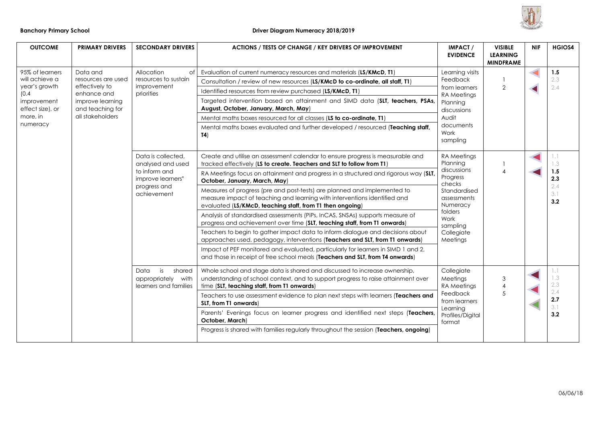

| <b>OUTCOME</b>                  | <b>PRIMARY DRIVERS</b>               | <b>SECONDARY DRIVERS</b>                                                                                                                                                                                                                                                       | <b>ACTIONS / TESTS OF CHANGE / KEY DRIVERS OF IMPROVEMENT</b>                                                                                                                                                      | <b>IMPACT/</b><br><b>EVIDENCE</b>                                                                                                                                                                                                                                                | <b>VISIBLE</b><br><b>LEARNING</b><br><b>MINDFRAME</b> | <b>NIF</b> | <b>HGIOS4</b>                                 |     |
|---------------------------------|--------------------------------------|--------------------------------------------------------------------------------------------------------------------------------------------------------------------------------------------------------------------------------------------------------------------------------|--------------------------------------------------------------------------------------------------------------------------------------------------------------------------------------------------------------------|----------------------------------------------------------------------------------------------------------------------------------------------------------------------------------------------------------------------------------------------------------------------------------|-------------------------------------------------------|------------|-----------------------------------------------|-----|
| 95% of learners                 | Data and                             | Allocation<br>of<br>resources to sustain<br>effectively to<br>improvement<br>priorities<br>Data is collected.<br>analysed and used<br>to inform and<br>improve learners"<br>progress and<br>achievement<br>is<br>shared<br>Data<br>appropriately with<br>learners and families | Evaluation of current numeracy resources and materials (LS/KMcD, T1)                                                                                                                                               | Learning visits                                                                                                                                                                                                                                                                  | 2                                                     |            | 1.5                                           |     |
| will achieve a<br>year's growth | resources are used                   |                                                                                                                                                                                                                                                                                | Consultation / review of new resources (LS/KMcD to co-ordinate, all staff, T1)                                                                                                                                     | Feedback                                                                                                                                                                                                                                                                         |                                                       |            | 2.3                                           |     |
| (0.4)                           | enhance and                          |                                                                                                                                                                                                                                                                                |                                                                                                                                                                                                                    | Identified resources from review purchased (LS/KMcD, T1)                                                                                                                                                                                                                         | from learners<br><b>RA</b> Meetings                   |            |                                               | 2.4 |
| improvement<br>effect size), or | improve learning<br>and teaching for |                                                                                                                                                                                                                                                                                | Targeted intervention based on attainment and SIMD data (SLT, teachers, PSAs,<br>August, October, January, March, May)                                                                                             | Planning<br>discussions                                                                                                                                                                                                                                                          |                                                       |            |                                               |     |
| more, in                        | all stakeholders                     |                                                                                                                                                                                                                                                                                | Mental maths boxes resourced for all classes (LS to co-ordinate, T1)                                                                                                                                               | Audit                                                                                                                                                                                                                                                                            |                                                       |            |                                               |     |
| numeracy                        |                                      |                                                                                                                                                                                                                                                                                | Mental maths boxes evaluated and further developed / resourced (Teaching staff,<br>T <sub>4</sub>                                                                                                                  | documents<br>Work<br>sampling                                                                                                                                                                                                                                                    |                                                       |            |                                               |     |
|                                 |                                      |                                                                                                                                                                                                                                                                                | Create and utilise an assessment calendar to ensure progress is measurable and<br>tracked effectively (LS to create. Teachers and SLT to follow from T1)                                                           | RA Meetings<br>Planning<br>discussions<br>Progress<br>checks<br>Standardised<br>assessments<br>Numeracy<br>folders<br>Work<br>sampling<br>Collegiate<br>Meetings<br>Collegiate<br>Meetings<br>RA Meetings<br>Feedback<br>from learners<br>Learning<br>Profiles/Digital<br>format |                                                       |            | 1.1<br>1.3<br>1.5<br>2.3<br>2.4<br>3.1<br>3.2 |     |
|                                 |                                      |                                                                                                                                                                                                                                                                                | RA Meetings focus on attainment and progress in a structured and rigorous way (SLT,<br>October, January, March, May)                                                                                               |                                                                                                                                                                                                                                                                                  |                                                       |            |                                               |     |
|                                 |                                      |                                                                                                                                                                                                                                                                                | Measures of progress (pre and post-tests) are planned and implemented to<br>measure impact of teaching and learning with interventions identified and<br>evaluated (LS/KMcD, teaching staff, from T1 then ongoing) |                                                                                                                                                                                                                                                                                  |                                                       |            |                                               |     |
|                                 |                                      |                                                                                                                                                                                                                                                                                | Analysis of standardised assessments (PiPs, InCAS, SNSAs) supports measure of<br>progress and achievement over time (SLT, teaching staff, from T1 onwards)                                                         |                                                                                                                                                                                                                                                                                  |                                                       |            |                                               |     |
|                                 |                                      |                                                                                                                                                                                                                                                                                | Teachers to begin to gather impact data to inform dialogue and decisions about<br>approaches used, pedagogy, interventions (Teachers and SLT, from T1 onwards)                                                     |                                                                                                                                                                                                                                                                                  |                                                       |            |                                               |     |
|                                 |                                      |                                                                                                                                                                                                                                                                                | Impact of PEF monitored and evaluated, particularly for learners in SIMD 1 and 2,<br>and those in receipt of free school meals (Teachers and SLT, from T4 onwards)                                                 |                                                                                                                                                                                                                                                                                  |                                                       |            |                                               |     |
|                                 |                                      |                                                                                                                                                                                                                                                                                | Whole school and stage data is shared and discussed to increase ownership,<br>understanding of school context, and to support progress to raise attainment over<br>time (SLT, teaching staff, from T1 onwards)     |                                                                                                                                                                                                                                                                                  | 3<br>5                                                |            | $\lceil . \rceil$<br>1.3<br>2.3               |     |
|                                 |                                      |                                                                                                                                                                                                                                                                                | Teachers to use assessment evidence to plan next steps with learners (Teachers and<br>SLT, from T1 onwards)                                                                                                        |                                                                                                                                                                                                                                                                                  |                                                       |            | 2.4<br>2.7<br>3.1                             |     |
|                                 |                                      |                                                                                                                                                                                                                                                                                | Parents' Evenings focus on learner progress and identified next steps (Teachers,<br>October, March)                                                                                                                |                                                                                                                                                                                                                                                                                  |                                                       |            | 3.2                                           |     |
|                                 |                                      |                                                                                                                                                                                                                                                                                | Progress is shared with families regularly throughout the session (Teachers, ongoing)                                                                                                                              |                                                                                                                                                                                                                                                                                  |                                                       |            |                                               |     |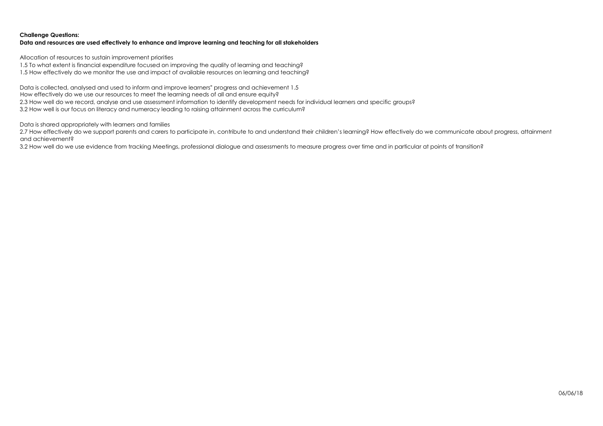# **Challenge Questions:**

# **Data and resources are used effectively to enhance and improve learning and teaching for all stakeholders**

Allocation of resources to sustain improvement priorities

1.5 To what extent is financial expenditure focused on improving the quality of learning and teaching?

1.5 How effectively do we monitor the use and impact of available resources on learning and teaching?

Data is collected, analysed and used to inform and improve learners" progress and achievement 1.5 How effectively do we use our resources to meet the learning needs of all and ensure equity? 2.3 How well do we record, analyse and use assessment information to identify development needs for individual learners and specific groups? 3.2 How well is our focus on literacy and numeracy leading to raising attainment across the curriculum?

Data is shared appropriately with learners and families

2.7 How effectively do we support parents and carers to participate in, contribute to and understand their children's learning? How effectively do we communicate about progress, attainment and achievement?

3.2 How well do we use evidence from tracking Meetings, professional dialogue and assessments to measure progress over time and in particular at points of transition?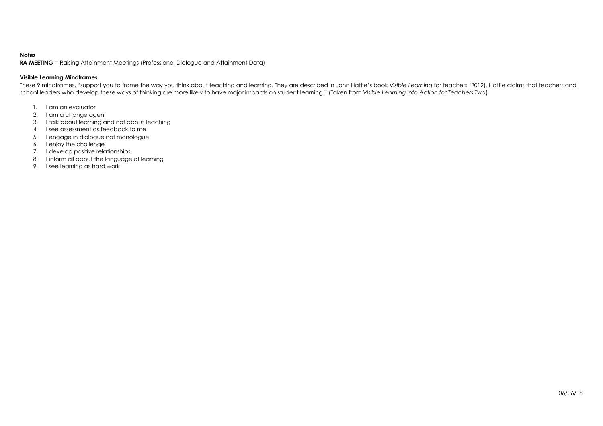# **Notes**

**RA MEETING** = Raising Attainment Meetings (Professional Dialogue and Attainment Data)

# **Visible Learning Mindframes**

These 9 mindframes, "support you to frame the way you think about teaching and learning. They are described in John Hattie's book *Visible Learning* for teachers (2012). Hattie claims that teachers and school leaders who develop these ways of thinking are more likely to have major impacts on student learning." (Taken from *Visible Learning into Action for Teachers Two*)

- 1. I am an evaluator
- 2. I am a change agent
- 3. I talk about learning and not about teaching
- 4. I see assessment as feedback to me
- 5. I engage in dialogue not monologue
- 6. I enjoy the challenge
- 7. I develop positive relationships
- 8. I inform all about the language of learning
- 9. I see learning as hard work